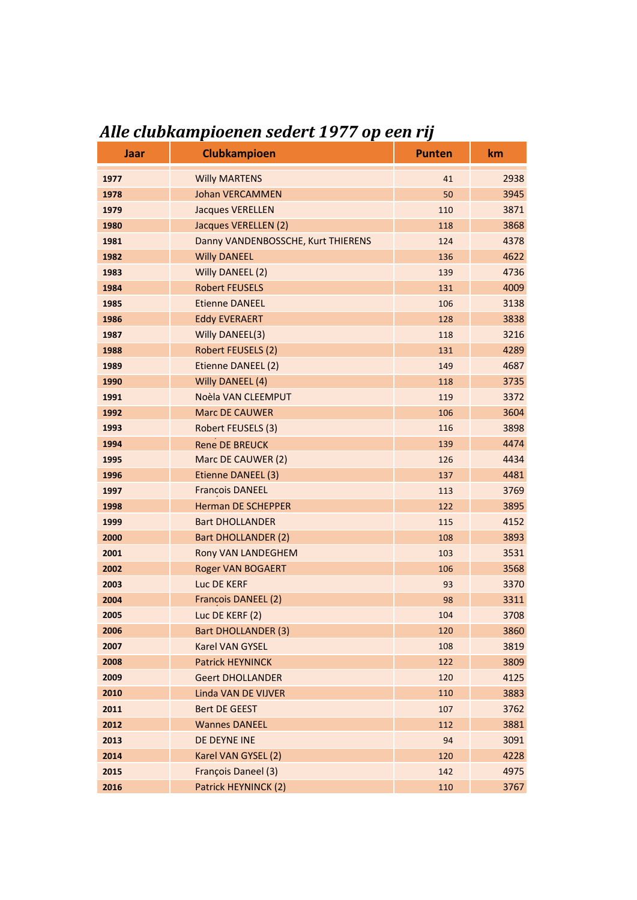| <b>Jaar</b> | <b>Clubkampioen</b>                | <b>Punten</b> | km   |
|-------------|------------------------------------|---------------|------|
| 1977        | <b>Willy MARTENS</b>               | 41            | 2938 |
| 1978        | <b>Johan VERCAMMEN</b>             | 50            | 3945 |
| 1979        | <b>Jacques VERELLEN</b>            | 110           | 3871 |
| 1980        | Jacques VERELLEN (2)               | 118           | 3868 |
| 1981        | Danny VANDENBOSSCHE, Kurt THIERENS | 124           | 4378 |
| 1982        | <b>Willy DANEEL</b>                | 136           | 4622 |
| 1983        | Willy DANEEL (2)                   | 139           | 4736 |
| 1984        | <b>Robert FEUSELS</b>              | 131           | 4009 |
| 1985        | <b>Etienne DANEEL</b>              | 106           | 3138 |
| 1986        | <b>Eddy EVERAERT</b>               | 128           | 3838 |
| 1987        | Willy DANEEL(3)                    | 118           | 3216 |
| 1988        | Robert FEUSELS (2)                 | 131           | 4289 |
| 1989        | Etienne DANEEL (2)                 | 149           | 4687 |
| 1990        | Willy DANEEL (4)                   | 118           | 3735 |
| 1991        | Noèla VAN CLEEMPUT                 | 119           | 3372 |
| 1992        | <b>Marc DE CAUWER</b>              | 106           | 3604 |
| 1993        | Robert FEUSELS (3)                 | 116           | 3898 |
| 1994        | <b>Rene DE BREUCK</b>              | 139           | 4474 |
| 1995        | Marc DE CAUWER (2)                 | 126           | 4434 |
| 1996        | Etienne DANEEL (3)                 | 137           | 4481 |
| 1997        | <b>Francois DANEEL</b>             | 113           | 3769 |
| 1998        | <b>Herman DE SCHEPPER</b>          | 122           | 3895 |
| 1999        | <b>Bart DHOLLANDER</b>             | 115           | 4152 |
| 2000        | <b>Bart DHOLLANDER (2)</b>         | 108           | 3893 |
| 2001        | Rony VAN LANDEGHEM                 | 103           | 3531 |
| 2002        | <b>Roger VAN BOGAERT</b>           | 106           | 3568 |
| 2003        | Luc DE KERF                        | 93            | 3370 |
| 2004        | Francois DANEEL (2)                | 98            | 3311 |
| 2005        | Luc DE KERF (2)                    | 104           | 3708 |
| 2006        | <b>Bart DHOLLANDER (3)</b>         | 120           | 3860 |
| 2007        | Karel VAN GYSEL                    | 108           | 3819 |
| 2008        | <b>Patrick HEYNINCK</b>            | 122           | 3809 |
| 2009        | <b>Geert DHOLLANDER</b>            | 120           | 4125 |
| 2010        | Linda VAN DE VIJVER                | 110           | 3883 |
| 2011        | Bert DE GEEST                      | 107           | 3762 |
| 2012        | <b>Wannes DANEEL</b>               | 112           | 3881 |
| 2013        | DE DEYNE INE                       | 94            | 3091 |
| 2014        | Karel VAN GYSEL (2)                | 120           | 4228 |
| 2015        | François Daneel (3)                | 142           | 4975 |
| 2016        | Patrick HEYNINCK (2)               | 110           | 3767 |

## *Alle clubkampioenen sedert 1977 op een rij*